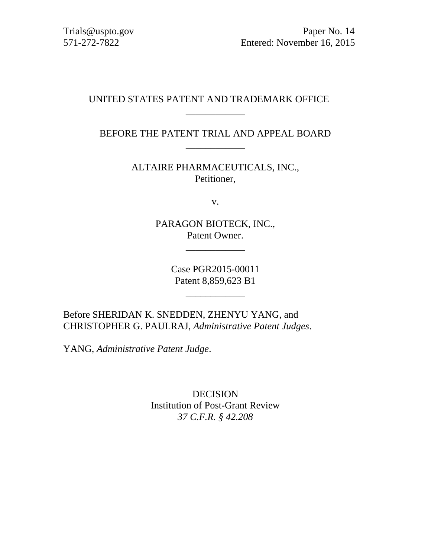# UNITED STATES PATENT AND TRADEMARK OFFICE

# BEFORE THE PATENT TRIAL AND APPEAL BOARD \_\_\_\_\_\_\_\_\_\_\_\_

\_\_\_\_\_\_\_\_\_\_\_\_

ALTAIRE PHARMACEUTICALS, INC., Petitioner,

v.

PARAGON BIOTECK, INC., Patent Owner.

\_\_\_\_\_\_\_\_\_\_\_\_

Case PGR2015-00011 Patent 8,859,623 B1

\_\_\_\_\_\_\_\_\_\_\_\_

Before SHERIDAN K. SNEDDEN, ZHENYU YANG, and CHRISTOPHER G. PAULRAJ, *Administrative Patent Judges*.

YANG, *Administrative Patent Judge*.

DECISION Institution of Post-Grant Review *37 C.F.R. § 42.208*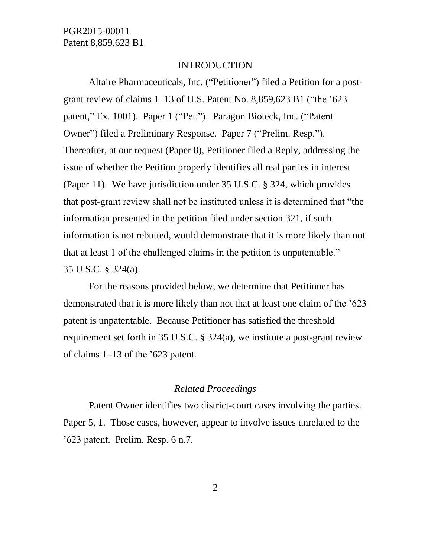#### INTRODUCTION

Altaire Pharmaceuticals, Inc. ("Petitioner") filed a Petition for a postgrant review of claims 1–13 of U.S. Patent No. 8,859,623 B1 ("the '623 patent," Ex. 1001). Paper 1 ("Pet."). Paragon Bioteck, Inc. ("Patent Owner") filed a Preliminary Response. Paper 7 ("Prelim. Resp."). Thereafter, at our request (Paper 8), Petitioner filed a Reply, addressing the issue of whether the Petition properly identifies all real parties in interest (Paper 11). We have jurisdiction under 35 U.S.C. § 324, which provides that post-grant review shall not be instituted unless it is determined that "the information presented in the petition filed under section 321, if such information is not rebutted, would demonstrate that it is more likely than not that at least 1 of the challenged claims in the petition is unpatentable." 35 U.S.C. § 324(a).

For the reasons provided below, we determine that Petitioner has demonstrated that it is more likely than not that at least one claim of the '623 patent is unpatentable. Because Petitioner has satisfied the threshold requirement set forth in 35 U.S.C. § 324(a), we institute a post-grant review of claims 1–13 of the '623 patent.

### *Related Proceedings*

Patent Owner identifies two district-court cases involving the parties. Paper 5, 1. Those cases, however, appear to involve issues unrelated to the '623 patent. Prelim. Resp. 6 n.7.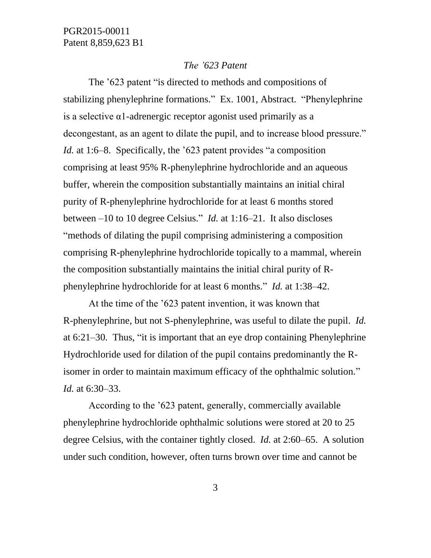#### *The '623 Patent*

The '623 patent "is directed to methods and compositions of stabilizing phenylephrine formations." Ex. 1001, Abstract. "Phenylephrine is a selective α1-adrenergic receptor agonist used primarily as a decongestant, as an agent to dilate the pupil, and to increase blood pressure." *Id.* at 1:6–8. Specifically, the '623 patent provides "a composition comprising at least 95% R-phenylephrine hydrochloride and an aqueous buffer, wherein the composition substantially maintains an initial chiral purity of R-phenylephrine hydrochloride for at least 6 months stored between –10 to 10 degree Celsius." *Id.* at 1:16–21. It also discloses "methods of dilating the pupil comprising administering a composition comprising R-phenylephrine hydrochloride topically to a mammal, wherein the composition substantially maintains the initial chiral purity of Rphenylephrine hydrochloride for at least 6 months." *Id.* at 1:38–42.

At the time of the '623 patent invention, it was known that R-phenylephrine, but not S-phenylephrine, was useful to dilate the pupil. *Id.* at 6:21–30. Thus, "it is important that an eye drop containing Phenylephrine Hydrochloride used for dilation of the pupil contains predominantly the Risomer in order to maintain maximum efficacy of the ophthalmic solution." *Id.* at 6:30–33.

According to the '623 patent, generally, commercially available phenylephrine hydrochloride ophthalmic solutions were stored at 20 to 25 degree Celsius, with the container tightly closed. *Id.* at 2:60–65. A solution under such condition, however, often turns brown over time and cannot be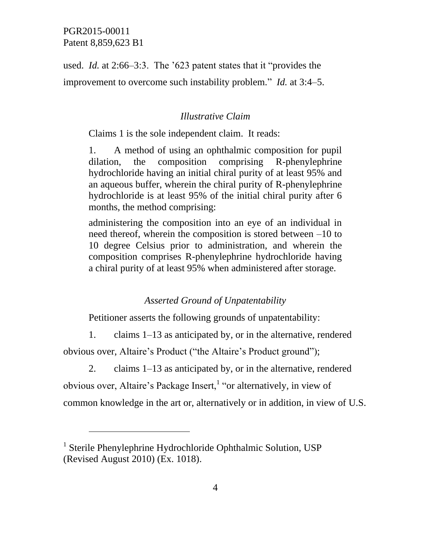$\overline{a}$ 

used. *Id.* at 2:66–3:3. The '623 patent states that it "provides the improvement to overcome such instability problem." *Id.* at 3:4–5.

## *Illustrative Claim*

Claims 1 is the sole independent claim. It reads:

1. A method of using an ophthalmic composition for pupil dilation, the composition comprising R-phenylephrine hydrochloride having an initial chiral purity of at least 95% and an aqueous buffer, wherein the chiral purity of R-phenylephrine hydrochloride is at least 95% of the initial chiral purity after 6 months, the method comprising:

administering the composition into an eye of an individual in need thereof, wherein the composition is stored between –10 to 10 degree Celsius prior to administration, and wherein the composition comprises R-phenylephrine hydrochloride having a chiral purity of at least 95% when administered after storage.

## *Asserted Ground of Unpatentability*

Petitioner asserts the following grounds of unpatentability:

1. claims 1–13 as anticipated by, or in the alternative, rendered

obvious over, Altaire's Product ("the Altaire's Product ground");

2. claims 1–13 as anticipated by, or in the alternative, rendered obvious over, Altaire's Package Insert,<sup>1</sup> "or alternatively, in view of common knowledge in the art or, alternatively or in addition, in view of U.S.

<sup>&</sup>lt;sup>1</sup> Sterile Phenylephrine Hydrochloride Ophthalmic Solution, USP (Revised August 2010) (Ex. 1018).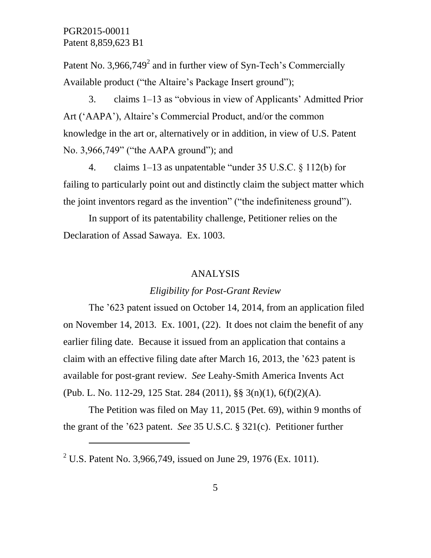$\overline{a}$ 

Patent No. 3,966,749 $^2$  and in further view of Syn-Tech's Commercially Available product ("the Altaire's Package Insert ground");

3. claims 1–13 as "obvious in view of Applicants' Admitted Prior Art ('AAPA'), Altaire's Commercial Product, and/or the common knowledge in the art or, alternatively or in addition, in view of U.S. Patent No. 3,966,749" ("the AAPA ground"); and

4. claims 1–13 as unpatentable "under 35 U.S.C. § 112(b) for failing to particularly point out and distinctly claim the subject matter which the joint inventors regard as the invention" ("the indefiniteness ground").

In support of its patentability challenge, Petitioner relies on the Declaration of Assad Sawaya. Ex. 1003.

### ANALYSIS

### *Eligibility for Post-Grant Review*

The '623 patent issued on October 14, 2014, from an application filed on November 14, 2013. Ex. 1001, (22). It does not claim the benefit of any earlier filing date. Because it issued from an application that contains a claim with an effective filing date after March 16, 2013, the '623 patent is available for post-grant review. *See* Leahy-Smith America Invents Act (Pub. L. No. 112-29, 125 Stat. 284 (2011), §§ 3(n)(1), 6(f)(2)(A).

The Petition was filed on May 11, 2015 (Pet. 69), within 9 months of the grant of the '623 patent. *See* 35 U.S.C. § 321(c). Petitioner further

<sup>&</sup>lt;sup>2</sup> U.S. Patent No. 3,966,749, issued on June 29, 1976 (Ex. 1011).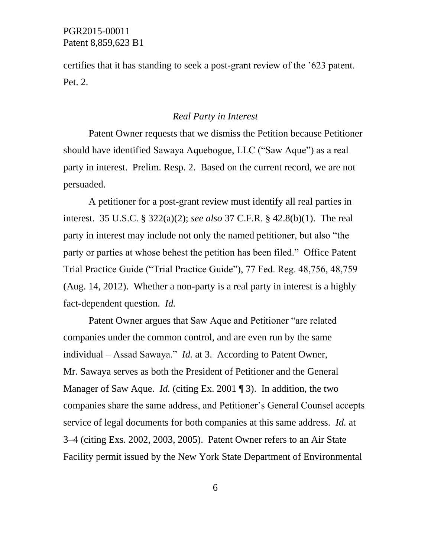certifies that it has standing to seek a post-grant review of the '623 patent. Pet. 2.

### *Real Party in Interest*

Patent Owner requests that we dismiss the Petition because Petitioner should have identified Sawaya Aquebogue, LLC ("Saw Aque") as a real party in interest. Prelim. Resp. 2. Based on the current record, we are not persuaded.

A petitioner for a post-grant review must identify all real parties in interest. 35 U.S.C. § 322(a)(2); *see also* 37 C.F.R. § 42.8(b)(1). The real party in interest may include not only the named petitioner, but also "the party or parties at whose behest the petition has been filed." Office Patent Trial Practice Guide ("Trial Practice Guide"), 77 Fed. Reg. 48,756, 48,759 (Aug. 14, 2012). Whether a non-party is a real party in interest is a highly fact-dependent question. *Id.*

Patent Owner argues that Saw Aque and Petitioner "are related companies under the common control, and are even run by the same individual – Assad Sawaya." *Id.* at 3. According to Patent Owner, Mr. Sawaya serves as both the President of Petitioner and the General Manager of Saw Aque. *Id.* (citing Ex. 2001 ¶ 3). In addition, the two companies share the same address, and Petitioner's General Counsel accepts service of legal documents for both companies at this same address. *Id.* at 3–4 (citing Exs. 2002, 2003, 2005). Patent Owner refers to an Air State Facility permit issued by the New York State Department of Environmental

6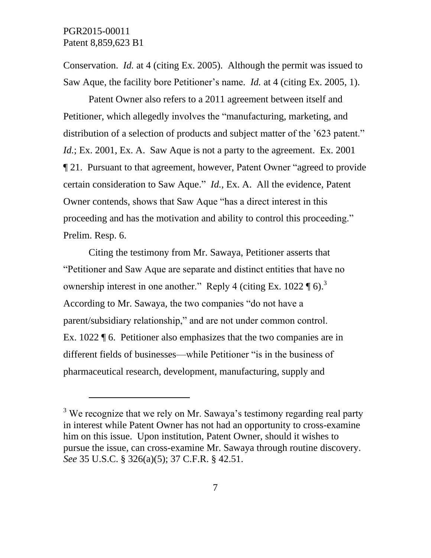l

Conservation. *Id.* at 4 (citing Ex. 2005). Although the permit was issued to Saw Aque, the facility bore Petitioner's name. *Id.* at 4 (citing Ex. 2005, 1).

Patent Owner also refers to a 2011 agreement between itself and Petitioner, which allegedly involves the "manufacturing, marketing, and distribution of a selection of products and subject matter of the '623 patent." *Id.*; Ex. 2001, Ex. A. Saw Aque is not a party to the agreement. Ex. 2001 ¶ 21. Pursuant to that agreement, however, Patent Owner "agreed to provide certain consideration to Saw Aque." *Id.*, Ex. A. All the evidence, Patent Owner contends, shows that Saw Aque "has a direct interest in this proceeding and has the motivation and ability to control this proceeding." Prelim. Resp. 6.

Citing the testimony from Mr. Sawaya, Petitioner asserts that "Petitioner and Saw Aque are separate and distinct entities that have no ownership interest in one another." Reply 4 (citing Ex. 1022  $\P$  6).<sup>3</sup> According to Mr. Sawaya, the two companies "do not have a parent/subsidiary relationship," and are not under common control. Ex. 1022 ¶ 6. Petitioner also emphasizes that the two companies are in different fields of businesses—while Petitioner "is in the business of pharmaceutical research, development, manufacturing, supply and

 $3$  We recognize that we rely on Mr. Sawaya's testimony regarding real party in interest while Patent Owner has not had an opportunity to cross-examine him on this issue. Upon institution, Patent Owner, should it wishes to pursue the issue, can cross-examine Mr. Sawaya through routine discovery. *See* 35 U.S.C. § 326(a)(5); 37 C.F.R. § 42.51.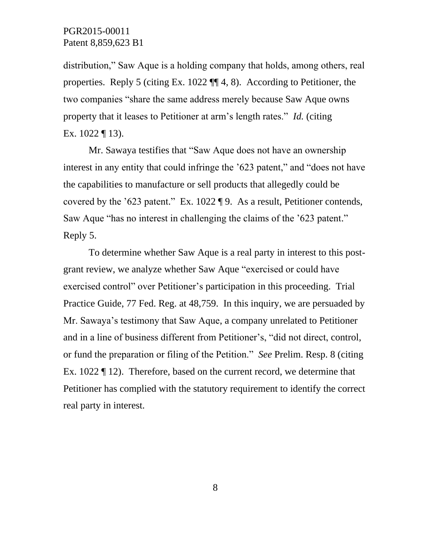distribution," Saw Aque is a holding company that holds, among others, real properties. Reply 5 (citing Ex. 1022 ¶¶ 4, 8). According to Petitioner, the two companies "share the same address merely because Saw Aque owns property that it leases to Petitioner at arm's length rates." *Id.* (citing Ex. 1022 ¶ 13).

Mr. Sawaya testifies that "Saw Aque does not have an ownership interest in any entity that could infringe the '623 patent," and "does not have the capabilities to manufacture or sell products that allegedly could be covered by the '623 patent." Ex. 1022 ¶ 9. As a result, Petitioner contends, Saw Aque "has no interest in challenging the claims of the '623 patent." Reply 5.

To determine whether Saw Aque is a real party in interest to this postgrant review, we analyze whether Saw Aque "exercised or could have exercised control" over Petitioner's participation in this proceeding. Trial Practice Guide, 77 Fed. Reg. at 48,759. In this inquiry, we are persuaded by Mr. Sawaya's testimony that Saw Aque, a company unrelated to Petitioner and in a line of business different from Petitioner's, "did not direct, control, or fund the preparation or filing of the Petition." *See* Prelim. Resp. 8 (citing Ex. 1022 ¶ 12). Therefore, based on the current record, we determine that Petitioner has complied with the statutory requirement to identify the correct real party in interest.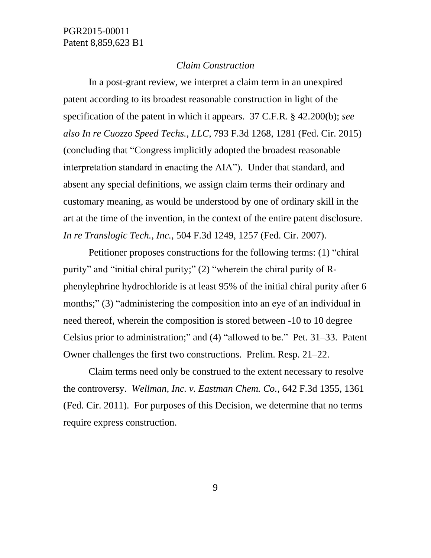### *Claim Construction*

In a post-grant review, we interpret a claim term in an unexpired patent according to its broadest reasonable construction in light of the specification of the patent in which it appears. 37 C.F.R. § 42.200(b); *see also In re Cuozzo Speed Techs., LLC*, 793 F.3d 1268, 1281 (Fed. Cir. 2015) (concluding that "Congress implicitly adopted the broadest reasonable interpretation standard in enacting the AIA"). Under that standard, and absent any special definitions, we assign claim terms their ordinary and customary meaning, as would be understood by one of ordinary skill in the art at the time of the invention, in the context of the entire patent disclosure. *In re Translogic Tech., Inc.*, 504 F.3d 1249, 1257 (Fed. Cir. 2007).

Petitioner proposes constructions for the following terms: (1) "chiral purity" and "initial chiral purity;" (2) "wherein the chiral purity of Rphenylephrine hydrochloride is at least 95% of the initial chiral purity after 6 months;" (3) "administering the composition into an eye of an individual in need thereof, wherein the composition is stored between -10 to 10 degree Celsius prior to administration;" and (4) "allowed to be." Pet. 31–33. Patent Owner challenges the first two constructions. Prelim. Resp. 21–22.

Claim terms need only be construed to the extent necessary to resolve the controversy. *Wellman, Inc. v. Eastman Chem. Co.*, 642 F.3d 1355, 1361 (Fed. Cir. 2011). For purposes of this Decision, we determine that no terms require express construction.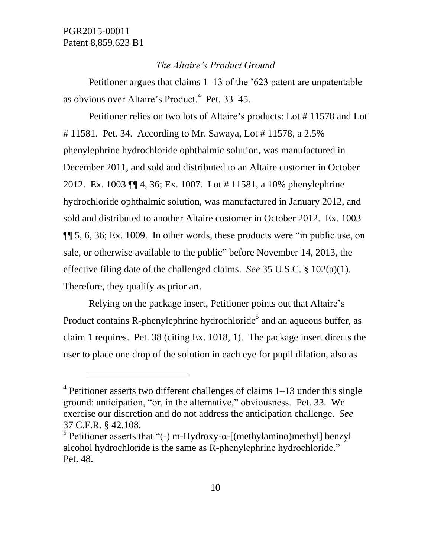l

### *The Altaire's Product Ground*

Petitioner argues that claims 1–13 of the '623 patent are unpatentable as obvious over Altaire's Product.<sup>4</sup> Pet. 33–45.

Petitioner relies on two lots of Altaire's products: Lot # 11578 and Lot # 11581. Pet. 34. According to Mr. Sawaya, Lot # 11578, a 2.5% phenylephrine hydrochloride ophthalmic solution, was manufactured in December 2011, and sold and distributed to an Altaire customer in October 2012. Ex. 1003 ¶¶ 4, 36; Ex. 1007. Lot # 11581, a 10% phenylephrine hydrochloride ophthalmic solution, was manufactured in January 2012, and sold and distributed to another Altaire customer in October 2012. Ex. 1003 ¶¶ 5, 6, 36; Ex. 1009. In other words, these products were "in public use, on sale, or otherwise available to the public" before November 14, 2013, the effective filing date of the challenged claims. *See* 35 U.S.C. § 102(a)(1). Therefore, they qualify as prior art.

Relying on the package insert, Petitioner points out that Altaire's Product contains R-phenylephrine hydrochloride<sup>5</sup> and an aqueous buffer, as claim 1 requires. Pet. 38 (citing Ex. 1018, 1). The package insert directs the user to place one drop of the solution in each eye for pupil dilation, also as

<sup>&</sup>lt;sup>4</sup> Petitioner asserts two different challenges of claims 1–13 under this single ground: anticipation, "or, in the alternative," obviousness. Pet. 33. We exercise our discretion and do not address the anticipation challenge. *See* 37 C.F.R. § 42.108.

<sup>&</sup>lt;sup>5</sup> Petitioner asserts that "(-) m-Hydroxy-α-[(methylamino)methyl] benzyl alcohol hydrochloride is the same as R-phenylephrine hydrochloride." Pet. 48.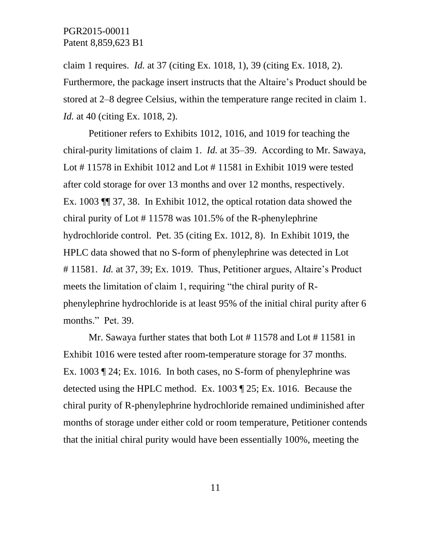claim 1 requires. *Id.* at 37 (citing Ex. 1018, 1), 39 (citing Ex. 1018, 2). Furthermore, the package insert instructs that the Altaire's Product should be stored at 2–8 degree Celsius, within the temperature range recited in claim 1. *Id.* at 40 (citing Ex. 1018, 2).

Petitioner refers to Exhibits 1012, 1016, and 1019 for teaching the chiral-purity limitations of claim 1. *Id.* at 35–39. According to Mr. Sawaya, Lot # 11578 in Exhibit 1012 and Lot # 11581 in Exhibit 1019 were tested after cold storage for over 13 months and over 12 months, respectively. Ex. 1003 ¶¶ 37, 38. In Exhibit 1012, the optical rotation data showed the chiral purity of Lot # 11578 was 101.5% of the R-phenylephrine hydrochloride control. Pet. 35 (citing Ex. 1012, 8). In Exhibit 1019, the HPLC data showed that no S-form of phenylephrine was detected in Lot # 11581. *Id.* at 37, 39; Ex. 1019. Thus, Petitioner argues, Altaire's Product meets the limitation of claim 1, requiring "the chiral purity of Rphenylephrine hydrochloride is at least 95% of the initial chiral purity after 6 months." Pet. 39.

Mr. Sawaya further states that both Lot #11578 and Lot #11581 in Exhibit 1016 were tested after room-temperature storage for 37 months. Ex. 1003 ¶ 24; Ex. 1016. In both cases, no S-form of phenylephrine was detected using the HPLC method. Ex. 1003 ¶ 25; Ex. 1016. Because the chiral purity of R-phenylephrine hydrochloride remained undiminished after months of storage under either cold or room temperature, Petitioner contends that the initial chiral purity would have been essentially 100%, meeting the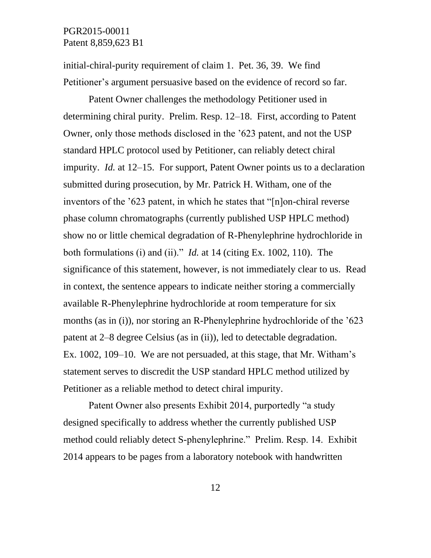initial-chiral-purity requirement of claim 1. Pet. 36, 39. We find Petitioner's argument persuasive based on the evidence of record so far.

Patent Owner challenges the methodology Petitioner used in determining chiral purity. Prelim. Resp. 12–18. First, according to Patent Owner, only those methods disclosed in the '623 patent, and not the USP standard HPLC protocol used by Petitioner, can reliably detect chiral impurity. *Id.* at 12–15. For support, Patent Owner points us to a declaration submitted during prosecution, by Mr. Patrick H. Witham, one of the inventors of the '623 patent, in which he states that "[n]on-chiral reverse phase column chromatographs (currently published USP HPLC method) show no or little chemical degradation of R-Phenylephrine hydrochloride in both formulations (i) and (ii)." *Id.* at 14 (citing Ex. 1002, 110). The significance of this statement, however, is not immediately clear to us. Read in context, the sentence appears to indicate neither storing a commercially available R-Phenylephrine hydrochloride at room temperature for six months (as in (i)), nor storing an R-Phenylephrine hydrochloride of the '623 patent at 2–8 degree Celsius (as in (ii)), led to detectable degradation. Ex. 1002, 109–10. We are not persuaded, at this stage, that Mr. Witham's statement serves to discredit the USP standard HPLC method utilized by Petitioner as a reliable method to detect chiral impurity.

Patent Owner also presents Exhibit 2014, purportedly "a study designed specifically to address whether the currently published USP method could reliably detect S-phenylephrine." Prelim. Resp. 14. Exhibit 2014 appears to be pages from a laboratory notebook with handwritten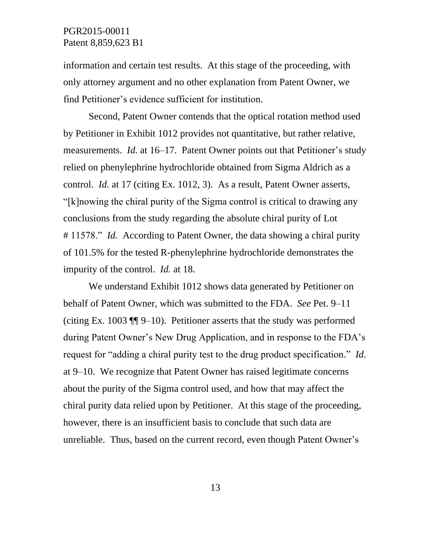information and certain test results. At this stage of the proceeding, with only attorney argument and no other explanation from Patent Owner, we find Petitioner's evidence sufficient for institution.

Second, Patent Owner contends that the optical rotation method used by Petitioner in Exhibit 1012 provides not quantitative, but rather relative, measurements. *Id.* at 16–17. Patent Owner points out that Petitioner's study relied on phenylephrine hydrochloride obtained from Sigma Aldrich as a control. *Id.* at 17 (citing Ex. 1012, 3). As a result, Patent Owner asserts, "[k]nowing the chiral purity of the Sigma control is critical to drawing any conclusions from the study regarding the absolute chiral purity of Lot # 11578." *Id.* According to Patent Owner, the data showing a chiral purity of 101.5% for the tested R-phenylephrine hydrochloride demonstrates the impurity of the control. *Id.* at 18.

We understand Exhibit 1012 shows data generated by Petitioner on behalf of Patent Owner, which was submitted to the FDA. *See* Pet. 9–11 (citing Ex. 1003 ¶¶ 9–10). Petitioner asserts that the study was performed during Patent Owner's New Drug Application, and in response to the FDA's request for "adding a chiral purity test to the drug product specification." *Id*. at 9–10. We recognize that Patent Owner has raised legitimate concerns about the purity of the Sigma control used, and how that may affect the chiral purity data relied upon by Petitioner. At this stage of the proceeding, however, there is an insufficient basis to conclude that such data are unreliable. Thus, based on the current record, even though Patent Owner's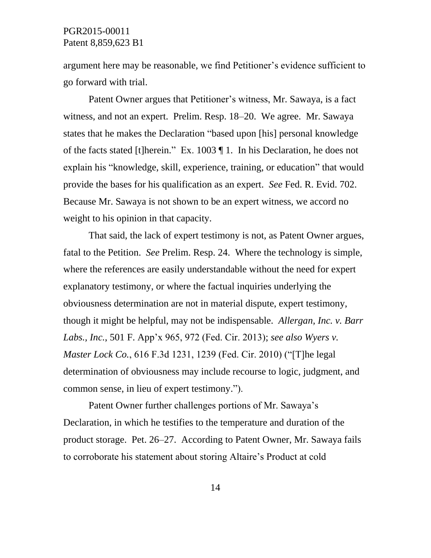argument here may be reasonable, we find Petitioner's evidence sufficient to go forward with trial.

Patent Owner argues that Petitioner's witness, Mr. Sawaya, is a fact witness, and not an expert. Prelim. Resp. 18–20. We agree. Mr. Sawaya states that he makes the Declaration "based upon [his] personal knowledge of the facts stated [t]herein." Ex. 1003 ¶ 1. In his Declaration, he does not explain his "knowledge, skill, experience, training, or education" that would provide the bases for his qualification as an expert. *See* Fed. R. Evid. 702. Because Mr. Sawaya is not shown to be an expert witness, we accord no weight to his opinion in that capacity.

That said, the lack of expert testimony is not, as Patent Owner argues, fatal to the Petition. *See* Prelim. Resp. 24. Where the technology is simple, where the references are easily understandable without the need for expert explanatory testimony, or where the factual inquiries underlying the obviousness determination are not in material dispute, expert testimony, though it might be helpful, may not be indispensable. *Allergan, Inc. v. Barr Labs., Inc.*, 501 F. App'x 965, 972 (Fed. Cir. 2013); *see also Wyers v. Master Lock Co.*, 616 F.3d 1231, 1239 (Fed. Cir. 2010) ("[T]he legal determination of obviousness may include recourse to logic, judgment, and common sense, in lieu of expert testimony.").

Patent Owner further challenges portions of Mr. Sawaya's Declaration, in which he testifies to the temperature and duration of the product storage. Pet. 26–27. According to Patent Owner, Mr. Sawaya fails to corroborate his statement about storing Altaire's Product at cold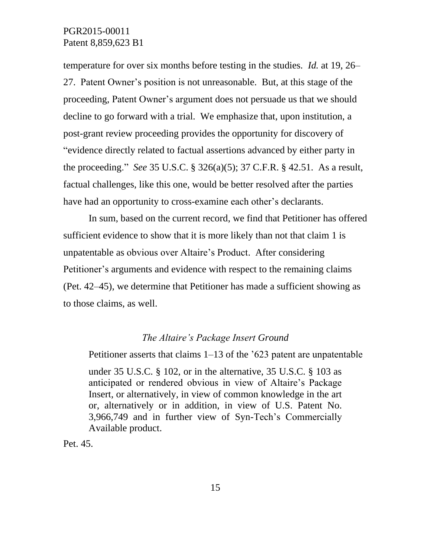temperature for over six months before testing in the studies. *Id.* at 19, 26– 27. Patent Owner's position is not unreasonable. But, at this stage of the proceeding, Patent Owner's argument does not persuade us that we should decline to go forward with a trial. We emphasize that, upon institution, a post-grant review proceeding provides the opportunity for discovery of "evidence directly related to factual assertions advanced by either party in the proceeding." *See* 35 U.S.C. § 326(a)(5); 37 C.F.R. § 42.51. As a result, factual challenges, like this one, would be better resolved after the parties have had an opportunity to cross-examine each other's declarants.

In sum, based on the current record, we find that Petitioner has offered sufficient evidence to show that it is more likely than not that claim 1 is unpatentable as obvious over Altaire's Product. After considering Petitioner's arguments and evidence with respect to the remaining claims (Pet. 42–45), we determine that Petitioner has made a sufficient showing as to those claims, as well.

### *The Altaire's Package Insert Ground*

Petitioner asserts that claims 1–13 of the '623 patent are unpatentable under 35 U.S.C. § 102, or in the alternative, 35 U.S.C. § 103 as anticipated or rendered obvious in view of Altaire's Package Insert, or alternatively, in view of common knowledge in the art or, alternatively or in addition, in view of U.S. Patent No. 3,966,749 and in further view of Syn-Tech's Commercially Available product.

Pet. 45.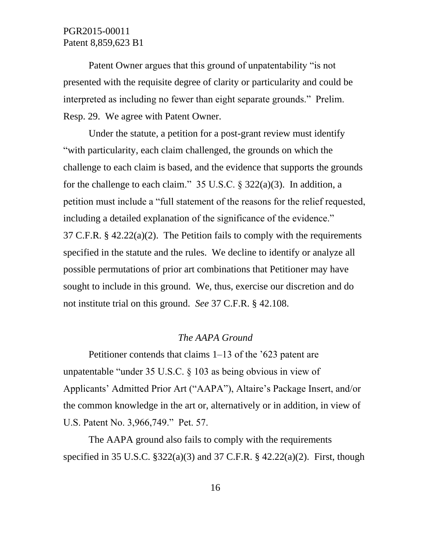Patent Owner argues that this ground of unpatentability "is not presented with the requisite degree of clarity or particularity and could be interpreted as including no fewer than eight separate grounds." Prelim. Resp. 29. We agree with Patent Owner.

Under the statute, a petition for a post-grant review must identify "with particularity, each claim challenged, the grounds on which the challenge to each claim is based, and the evidence that supports the grounds for the challenge to each claim." 35 U.S.C. § 322(a)(3). In addition, a petition must include a "full statement of the reasons for the relief requested, including a detailed explanation of the significance of the evidence." 37 C.F.R.  $\S$  42.22(a)(2). The Petition fails to comply with the requirements specified in the statute and the rules. We decline to identify or analyze all possible permutations of prior art combinations that Petitioner may have sought to include in this ground. We, thus, exercise our discretion and do not institute trial on this ground. *See* 37 C.F.R. § 42.108.

### *The AAPA Ground*

Petitioner contends that claims 1–13 of the '623 patent are unpatentable "under 35 U.S.C. § 103 as being obvious in view of Applicants' Admitted Prior Art ("AAPA"), Altaire's Package Insert, and/or the common knowledge in the art or, alternatively or in addition, in view of U.S. Patent No. 3,966,749." Pet. 57.

The AAPA ground also fails to comply with the requirements specified in 35 U.S.C.  $\S 322(a)(3)$  and 37 C.F.R.  $\S 42.22(a)(2)$ . First, though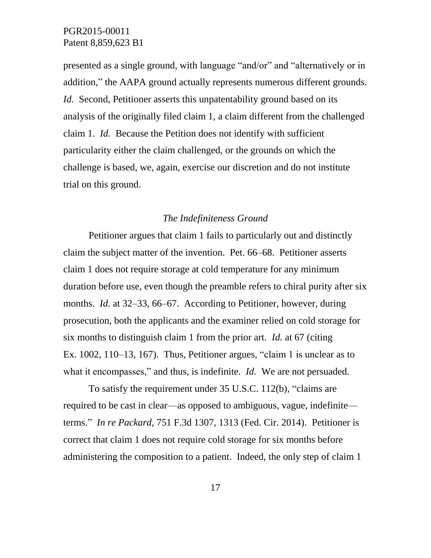presented as a single ground, with language "and/or" and "alternatively or in addition," the AAPA ground actually represents numerous different grounds. *Id.* Second, Petitioner asserts this unpatentability ground based on its analysis of the originally filed claim 1, a claim different from the challenged claim 1. *Id.* Because the Petition does not identify with sufficient particularity either the claim challenged, or the grounds on which the challenge is based, we, again, exercise our discretion and do not institute trial on this ground.

### *The Indefiniteness Ground*

Petitioner argues that claim 1 fails to particularly out and distinctly claim the subject matter of the invention. Pet. 66–68. Petitioner asserts claim 1 does not require storage at cold temperature for any minimum duration before use, even though the preamble refers to chiral purity after six months. *Id.* at 32–33, 66–67. According to Petitioner, however, during prosecution, both the applicants and the examiner relied on cold storage for six months to distinguish claim 1 from the prior art. *Id.* at 67 (citing Ex. 1002, 110–13, 167). Thus, Petitioner argues, "claim 1 is unclear as to what it encompasses," and thus, is indefinite. *Id.* We are not persuaded.

To satisfy the requirement under 35 U.S.C. 112(b), "claims are required to be cast in clear—as opposed to ambiguous, vague, indefinite terms." *In re Packard*, 751 F.3d 1307, 1313 (Fed. Cir. 2014). Petitioner is correct that claim 1 does not require cold storage for six months before administering the composition to a patient. Indeed, the only step of claim 1

17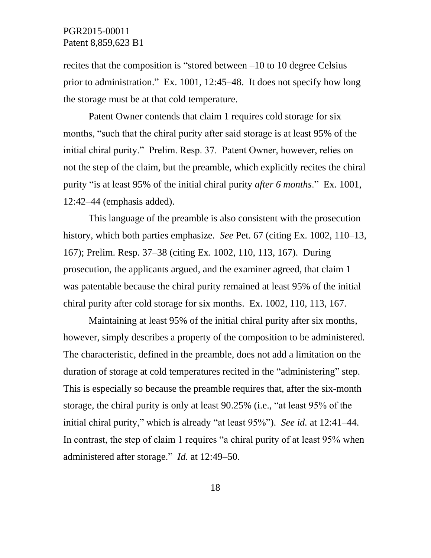recites that the composition is "stored between –10 to 10 degree Celsius prior to administration." Ex. 1001, 12:45–48. It does not specify how long the storage must be at that cold temperature.

Patent Owner contends that claim 1 requires cold storage for six months, "such that the chiral purity after said storage is at least 95% of the initial chiral purity." Prelim. Resp. 37. Patent Owner, however, relies on not the step of the claim, but the preamble, which explicitly recites the chiral purity "is at least 95% of the initial chiral purity *after 6 months*." Ex. 1001, 12:42–44 (emphasis added).

This language of the preamble is also consistent with the prosecution history, which both parties emphasize. *See* Pet. 67 (citing Ex. 1002, 110–13, 167); Prelim. Resp. 37–38 (citing Ex. 1002, 110, 113, 167). During prosecution, the applicants argued, and the examiner agreed, that claim 1 was patentable because the chiral purity remained at least 95% of the initial chiral purity after cold storage for six months. Ex. 1002, 110, 113, 167.

Maintaining at least 95% of the initial chiral purity after six months, however, simply describes a property of the composition to be administered. The characteristic, defined in the preamble, does not add a limitation on the duration of storage at cold temperatures recited in the "administering" step. This is especially so because the preamble requires that, after the six-month storage, the chiral purity is only at least 90.25% (i.e., "at least 95% of the initial chiral purity," which is already "at least 95%"). *See id.* at 12:41–44. In contrast, the step of claim 1 requires "a chiral purity of at least 95% when administered after storage." *Id.* at 12:49–50.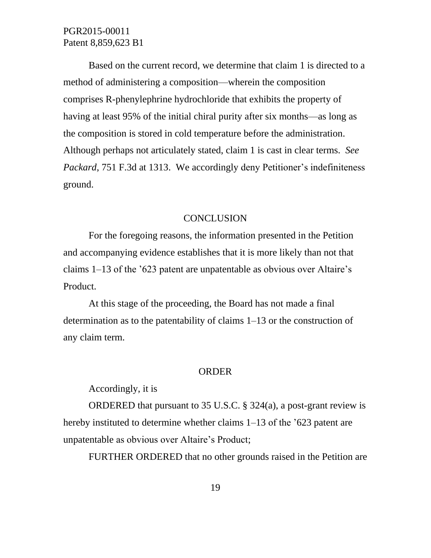Based on the current record, we determine that claim 1 is directed to a method of administering a composition—wherein the composition comprises R-phenylephrine hydrochloride that exhibits the property of having at least 95% of the initial chiral purity after six months—as long as the composition is stored in cold temperature before the administration. Although perhaps not articulately stated, claim 1 is cast in clear terms. *See Packard*, 751 F.3d at 1313. We accordingly deny Petitioner's indefiniteness ground.

#### **CONCLUSION**

For the foregoing reasons, the information presented in the Petition and accompanying evidence establishes that it is more likely than not that claims 1–13 of the '623 patent are unpatentable as obvious over Altaire's Product.

At this stage of the proceeding, the Board has not made a final determination as to the patentability of claims 1–13 or the construction of any claim term.

#### ORDER

Accordingly, it is

ORDERED that pursuant to 35 U.S.C. § 324(a), a post-grant review is hereby instituted to determine whether claims 1–13 of the '623 patent are unpatentable as obvious over Altaire's Product;

FURTHER ORDERED that no other grounds raised in the Petition are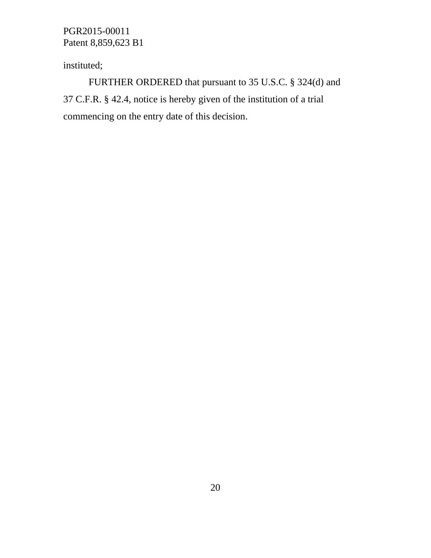instituted;

FURTHER ORDERED that pursuant to 35 U.S.C. § 324(d) and 37 C.F.R. § 42.4, notice is hereby given of the institution of a trial commencing on the entry date of this decision.